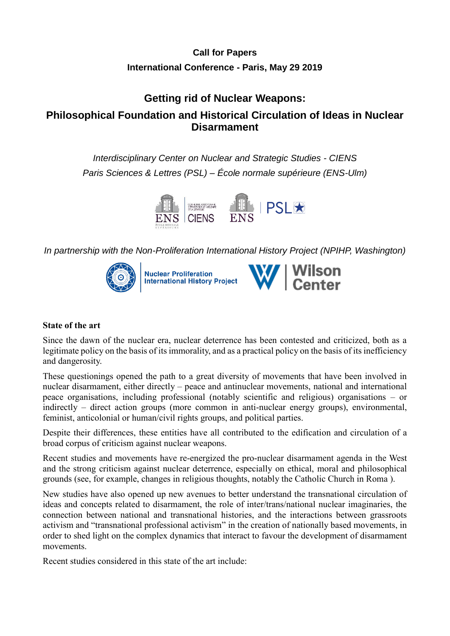# **Call for Papers International Conference - Paris, May 29 2019**

# **Getting rid of Nuclear Weapons: Philosophical Foundation and Historical Circulation of Ideas in Nuclear Disarmament**

*Interdisciplinary Center on Nuclear and Strategic Studies - CIENS Paris Sciences & Lettres (PSL) – École normale supérieure (ENS-Ulm)*



*In partnership with the Non-Proliferation International History Project (NPIHP, Washington)* 



### **State of the art**

Since the dawn of the nuclear era, nuclear deterrence has been contested and criticized, both as a legitimate policy on the basis of its immorality, and as a practical policy on the basis of its inefficiency and dangerosity.

These questionings opened the path to a great diversity of movements that have been involved in nuclear disarmament, either directly – peace and antinuclear movements, national and international peace organisations, including professional (notably scientific and religious) organisations – or indirectly – direct action groups (more common in anti-nuclear energy groups), environmental, feminist, anticolonial or human/civil rights groups, and political parties.

Despite their differences, these entities have all contributed to the edification and circulation of a broad corpus of criticism against nuclear weapons.

Recent studies and movements have re-energized the pro-nuclear disarmament agenda in the West and the strong criticism against nuclear deterrence, especially on ethical, moral and philosophical grounds (see, for example, changes in religious thoughts, notably the Catholic Church in Roma ).

New studies have also opened up new avenues to better understand the transnational circulation of ideas and concepts related to disarmament, the role of inter/trans/national nuclear imaginaries, the connection between national and transnational histories, and the interactions between grassroots activism and "transnational professional activism" in the creation of nationally based movements, in order to shed light on the complex dynamics that interact to favour the development of disarmament movements.

Recent studies considered in this state of the art include: